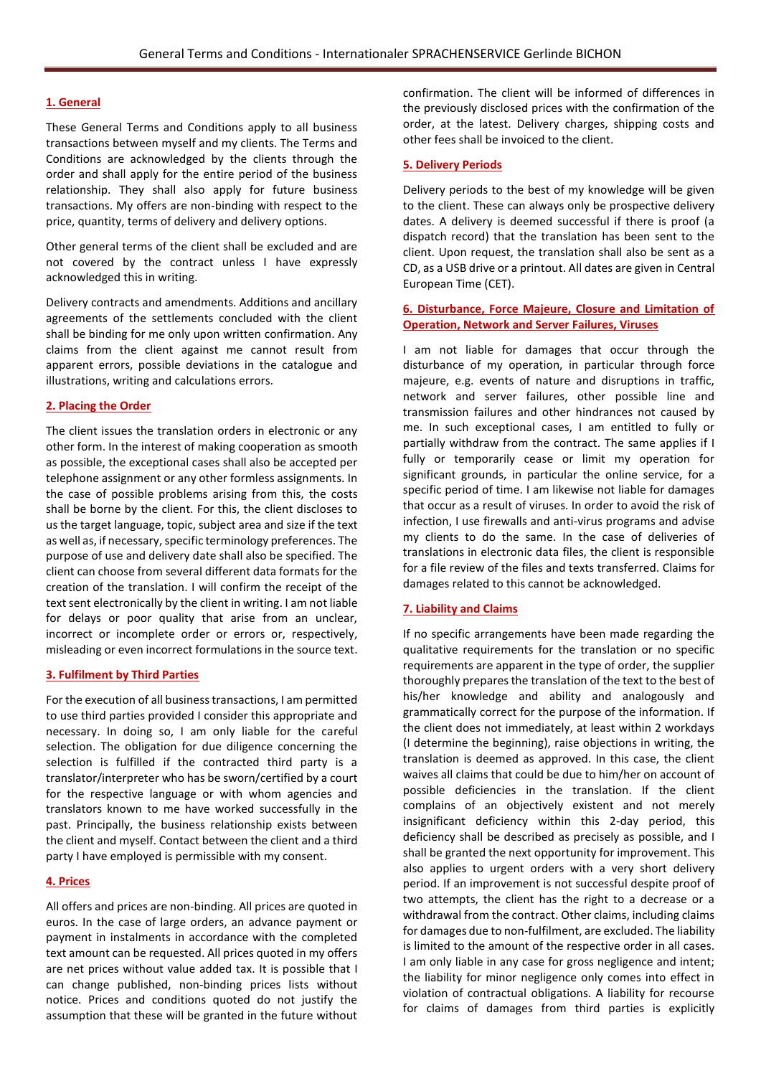#### **1. General**

These General Terms and Conditions apply to all business transactions between myself and my clients. The Terms and Conditions are acknowledged by the clients through the order and shall apply for the entire period of the business relationship. They shall also apply for future business transactions. My offers are non-binding with respect to the price, quantity, terms of delivery and delivery options.

Other general terms of the client shall be excluded and are not covered by the contract unless I have expressly acknowledged this in writing.

Delivery contracts and amendments. Additions and ancillary agreements of the settlements concluded with the client shall be binding for me only upon written confirmation. Any claims from the client against me cannot result from apparent errors, possible deviations in the catalogue and illustrations, writing and calculations errors.

# **2. Placing the Order**

The client issues the translation orders in electronic or any other form. In the interest of making cooperation as smooth as possible, the exceptional cases shall also be accepted per telephone assignment or any other formless assignments. In the case of possible problems arising from this, the costs shall be borne by the client. For this, the client discloses to us the target language, topic, subject area and size if the text as well as, if necessary, specific terminology preferences. The purpose of use and delivery date shall also be specified. The client can choose from several different data formats for the creation of the translation. I will confirm the receipt of the text sent electronically by the client in writing. I am not liable for delays or poor quality that arise from an unclear, incorrect or incomplete order or errors or, respectively, misleading or even incorrect formulations in the source text.

#### **3. Fulfilment by Third Parties**

For the execution of all business transactions, I am permitted to use third parties provided I consider this appropriate and necessary. In doing so, I am only liable for the careful selection. The obligation for due diligence concerning the selection is fulfilled if the contracted third party is a translator/interpreter who has be sworn/certified by a court for the respective language or with whom agencies and translators known to me have worked successfully in the past. Principally, the business relationship exists between the client and myself. Contact between the client and a third party I have employed is permissible with my consent.

#### **4. Prices**

All offers and prices are non-binding. All prices are quoted in euros. In the case of large orders, an advance payment or payment in instalments in accordance with the completed text amount can be requested. All prices quoted in my offers are net prices without value added tax. It is possible that I can change published, non-binding prices lists without notice. Prices and conditions quoted do not justify the assumption that these will be granted in the future without confirmation. The client will be informed of differences in the previously disclosed prices with the confirmation of the order, at the latest. Delivery charges, shipping costs and other fees shall be invoiced to the client.

### **5. Delivery Periods**

Delivery periods to the best of my knowledge will be given to the client. These can always only be prospective delivery dates. A delivery is deemed successful if there is proof (a dispatch record) that the translation has been sent to the client. Upon request, the translation shall also be sent as a CD, as a USB drive or a printout. All dates are given in Central European Time (CET).

# **6. Disturbance, Force Majeure, Closure and Limitation of Operation, Network and Server Failures, Viruses**

I am not liable for damages that occur through the disturbance of my operation, in particular through force majeure, e.g. events of nature and disruptions in traffic, network and server failures, other possible line and transmission failures and other hindrances not caused by me. In such exceptional cases, I am entitled to fully or partially withdraw from the contract. The same applies if I fully or temporarily cease or limit my operation for significant grounds, in particular the online service, for a specific period of time. I am likewise not liable for damages that occur as a result of viruses. In order to avoid the risk of infection, I use firewalls and anti-virus programs and advise my clients to do the same. In the case of deliveries of translations in electronic data files, the client is responsible for a file review of the files and texts transferred. Claims for damages related to this cannot be acknowledged.

### **7. Liability and Claims**

If no specific arrangements have been made regarding the qualitative requirements for the translation or no specific requirements are apparent in the type of order, the supplier thoroughly prepares the translation of the text to the best of his/her knowledge and ability and analogously and grammatically correct for the purpose of the information. If the client does not immediately, at least within 2 workdays (I determine the beginning), raise objections in writing, the translation is deemed as approved. In this case, the client waives all claims that could be due to him/her on account of possible deficiencies in the translation. If the client complains of an objectively existent and not merely insignificant deficiency within this 2-day period, this deficiency shall be described as precisely as possible, and I shall be granted the next opportunity for improvement. This also applies to urgent orders with a very short delivery period. If an improvement is not successful despite proof of two attempts, the client has the right to a decrease or a withdrawal from the contract. Other claims, including claims for damages due to non-fulfilment, are excluded. The liability is limited to the amount of the respective order in all cases. I am only liable in any case for gross negligence and intent; the liability for minor negligence only comes into effect in violation of contractual obligations. A liability for recourse for claims of damages from third parties is explicitly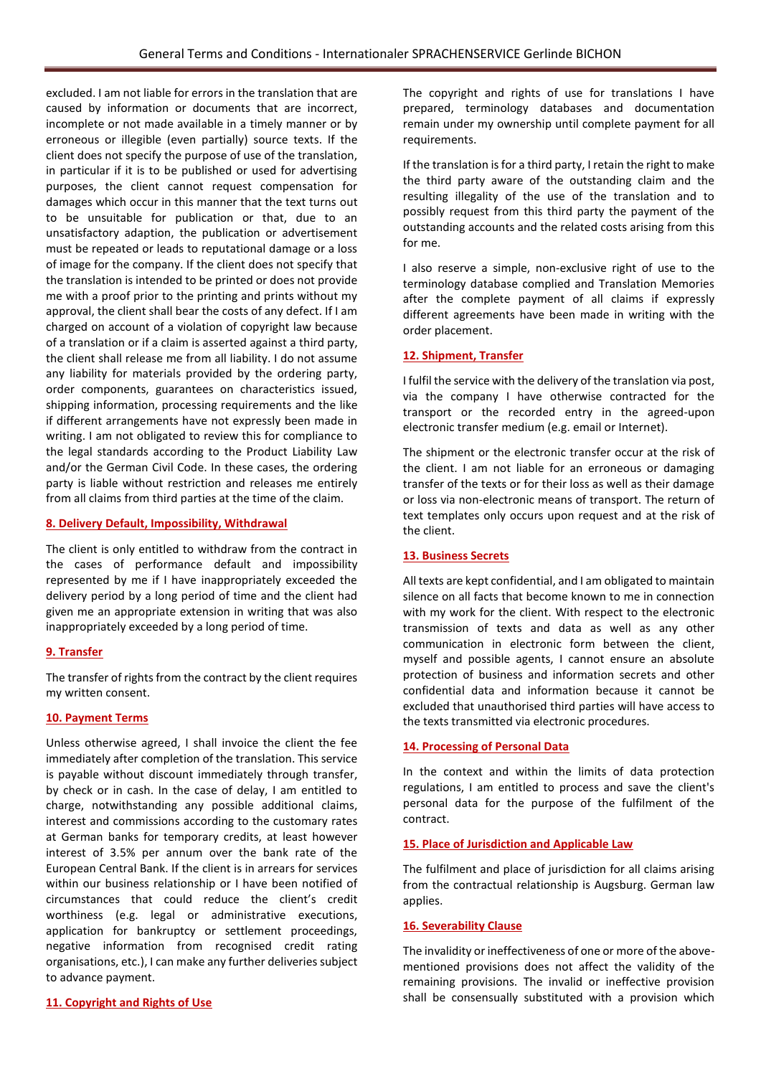excluded. I am not liable for errors in the translation that are caused by information or documents that are incorrect, incomplete or not made available in a timely manner or by erroneous or illegible (even partially) source texts. If the client does not specify the purpose of use of the translation, in particular if it is to be published or used for advertising purposes, the client cannot request compensation for damages which occur in this manner that the text turns out to be unsuitable for publication or that, due to an unsatisfactory adaption, the publication or advertisement must be repeated or leads to reputational damage or a loss of image for the company. If the client does not specify that the translation is intended to be printed or does not provide me with a proof prior to the printing and prints without my approval, the client shall bear the costs of any defect. If I am charged on account of a violation of copyright law because of a translation or if a claim is asserted against a third party, the client shall release me from all liability. I do not assume any liability for materials provided by the ordering party, order components, guarantees on characteristics issued, shipping information, processing requirements and the like if different arrangements have not expressly been made in writing. I am not obligated to review this for compliance to the legal standards according to the Product Liability Law and/or the German Civil Code. In these cases, the ordering party is liable without restriction and releases me entirely from all claims from third parties at the time of the claim.

# **8. Delivery Default, Impossibility, Withdrawal**

The client is only entitled to withdraw from the contract in the cases of performance default and impossibility represented by me if I have inappropriately exceeded the delivery period by a long period of time and the client had given me an appropriate extension in writing that was also inappropriately exceeded by a long period of time.

#### **9. Transfer**

The transfer of rights from the contract by the client requires my written consent.

#### **10. Payment Terms**

Unless otherwise agreed, I shall invoice the client the fee immediately after completion of the translation. This service is payable without discount immediately through transfer, by check or in cash. In the case of delay, I am entitled to charge, notwithstanding any possible additional claims, interest and commissions according to the customary rates at German banks for temporary credits, at least however interest of 3.5% per annum over the bank rate of the European Central Bank. If the client is in arrears for services within our business relationship or I have been notified of circumstances that could reduce the client's credit worthiness (e.g. legal or administrative executions, application for bankruptcy or settlement proceedings, negative information from recognised credit rating organisations, etc.), I can make any further deliveries subject to advance payment.

# **11. Copyright and Rights of Use**

The copyright and rights of use for translations I have prepared, terminology databases and documentation remain under my ownership until complete payment for all requirements.

If the translation is for a third party, I retain the right to make the third party aware of the outstanding claim and the resulting illegality of the use of the translation and to possibly request from this third party the payment of the outstanding accounts and the related costs arising from this for me.

I also reserve a simple, non-exclusive right of use to the terminology database complied and Translation Memories after the complete payment of all claims if expressly different agreements have been made in writing with the order placement.

### **12. Shipment, Transfer**

I fulfil the service with the delivery of the translation via post, via the company I have otherwise contracted for the transport or the recorded entry in the agreed-upon electronic transfer medium (e.g. email or Internet).

The shipment or the electronic transfer occur at the risk of the client. I am not liable for an erroneous or damaging transfer of the texts or for their loss as well as their damage or loss via non-electronic means of transport. The return of text templates only occurs upon request and at the risk of the client.

#### **13. Business Secrets**

All texts are kept confidential, and I am obligated to maintain silence on all facts that become known to me in connection with my work for the client. With respect to the electronic transmission of texts and data as well as any other communication in electronic form between the client, myself and possible agents, I cannot ensure an absolute protection of business and information secrets and other confidential data and information because it cannot be excluded that unauthorised third parties will have access to the texts transmitted via electronic procedures.

#### **14. Processing of Personal Data**

In the context and within the limits of data protection regulations, I am entitled to process and save the client's personal data for the purpose of the fulfilment of the contract.

#### **15. Place of Jurisdiction and Applicable Law**

The fulfilment and place of jurisdiction for all claims arising from the contractual relationship is Augsburg. German law applies.

#### **16. Severability Clause**

The invalidity or ineffectiveness of one or more of the abovementioned provisions does not affect the validity of the remaining provisions. The invalid or ineffective provision shall be consensually substituted with a provision which